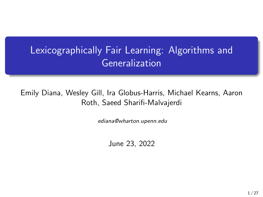# Lexicographically Fair Learning: Algorithms and Generalization

#### Emily Diana, Wesley Gill, Ira Globus-Harris, Michael Kearns, Aaron Roth, Saeed Sharifi-Malvajerdi

ediana@wharton.upenn.edu

June 23, 2022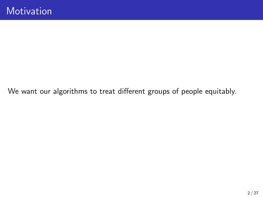We want our algorithms to treat different groups of people equitably.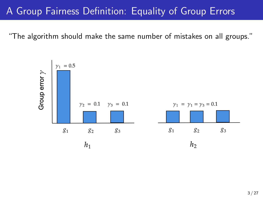### A Group Fairness Definition: Equality of Group Errors

"The algorithm should make the same number of mistakes on all groups."

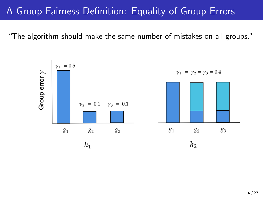### A Group Fairness Definition: Equality of Group Errors

"The algorithm should make the same number of mistakes on all groups."

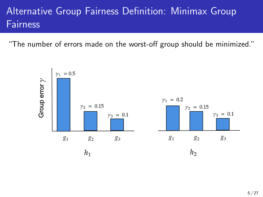# Alternative Group Fairness Definition: Minimax Group **Fairness**

"The number of errors made on the worst-off group should be minimized."

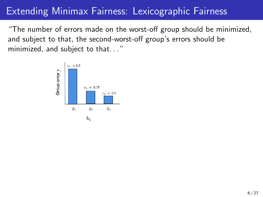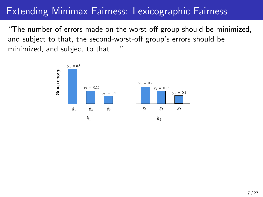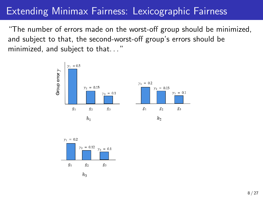

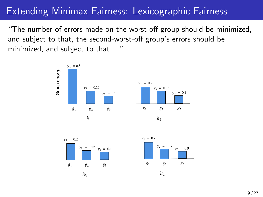





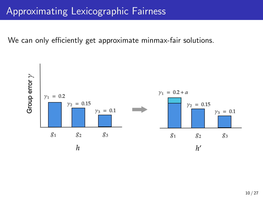We can only efficiently get approximate minmax-fair solutions.

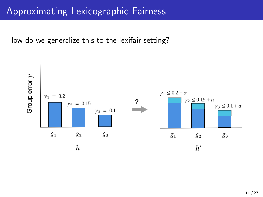How do we generalize this to the lexifair setting?

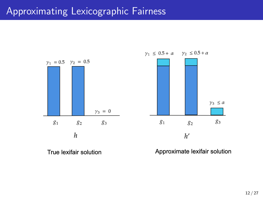

 $\gamma_1 \leq 0.5 + \alpha$   $\gamma_2 \leq 0.5 + \alpha$ 



True lexifair solution

Approximate lexifair solution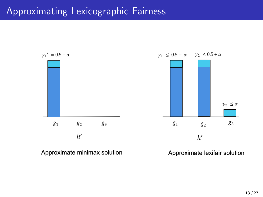

Approximate minimax solution

Approximate lexifair solution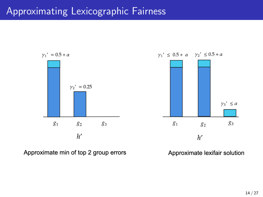

Approximate min of top 2 group errors

Approximate lexifair solution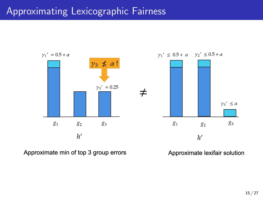

Approximate min of top 3 group errors

Approximate lexifair solution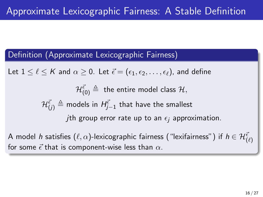#### Definition (Approximate Lexicographic Fairness)

Let  $1 \leq \ell \leq K$  and  $\alpha \geq 0$ . Let  $\vec{\epsilon} = (\epsilon_1, \epsilon_2, \ldots, \epsilon_\ell)$ , and define

 $\mathcal{H}^{\vec{\epsilon}}_{(\mathsf{0})} \triangleq \;$  the entire model class  $\mathcal{H},$  $\mathcal{H}^{\vec{\epsilon}}_{(j)} \triangleq$  models in  $H^{\vec{\epsilon}}_{j-1}$  that have the smallest jth group error rate up to an  $\epsilon_i$  approximation.

A model  $h$  satisfies  $(\ell, \alpha)$ -lexicographic fairness ("lexifairness") if  $h \in \mathcal{H}^{\vec{\epsilon}}_{(\ell)}$ for some  $\vec{\epsilon}$  that is component-wise less than  $\alpha$ .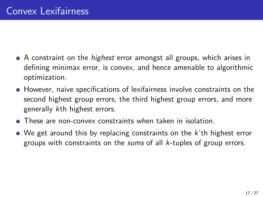- A constraint on the *highest* error amongst all groups, which arises in defining minimax error, is convex, and hence amenable to algorithmic optimization.
- **•** However, naive specifications of lexifairness involve constraints on the second highest group errors, the third highest group errors, and more generally kth highest errors.
- These are non-convex constraints when taken in isolation.
- $\bullet$  We get around this by replacing constraints on the  $k$ 'th highest error groups with constraints on the *sums* of all k-tuples of group errors.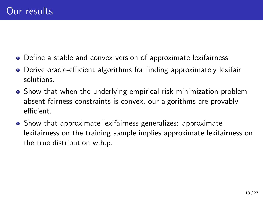- Define a stable and convex version of approximate lexifairness.
- Derive oracle-efficient algorithms for finding approximately lexifair solutions.
- Show that when the underlying empirical risk minimization problem absent fairness constraints is convex, our algorithms are provably efficient.
- Show that approximate lexifairness generalizes: approximate lexifairness on the training sample implies approximate lexifairness on the true distribution w.h.p.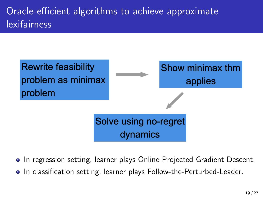# Oracle-efficient algorithms to achieve approximate lexifairness



- In regression setting, learner plays Online Projected Gradient Descent.
- In classification setting, learner plays Follow-the-Perturbed-Leader.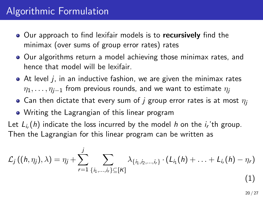## Algorithmic Formulation

- Our approach to find lexifair models is to recursively find the minimax (over sums of group error rates) rates
- Our algorithms return a model achieving those minimax rates, and hence that model will be lexifair.
- $\bullet$  At level *j*, in an inductive fashion, we are given the minimax rates  $\eta_1, \ldots, \eta_{i-1}$  from previous rounds, and we want to estimate  $\eta_i$
- Can then dictate that every sum of j group error rates is at most  $\eta_i$
- Writing the Lagrangian of this linear program

Let  $L_{i_r}(h)$  indicate the loss incurred by the model h on the  $i_r$ 'th group. Then the Lagrangian for this linear program can be written as

$$
\mathcal{L}_j\left((h,\eta_j),\lambda\right) = \eta_j + \sum_{r=1}^j \sum_{\{i_1,\dots,i_r\} \subseteq [K]} \lambda_{\{i_1,i_2,\dots,i_r\}} \cdot \left(L_{i_1}(h) + \ldots + L_{i_r}(h) - \eta_r\right) \tag{1}
$$

20 / 27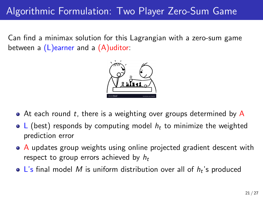# Algorithmic Formulation: Two Player Zero-Sum Game

Can find a minimax solution for this Lagrangian with a zero-sum game between a  $(L)$ earner and a  $(A)$ uditor:



- $\bullet$  At each round t, there is a weighting over groups determined by A
- L (best) responds by computing model  $h_t$  to minimize the weighted prediction error
- A updates group weights using online projected gradient descent with respect to group errors achieved by  $h_t$
- L's final model M is uniform distribution over all of  $h_t$ 's produced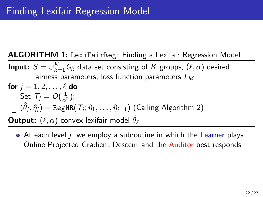ALGORITHM 1: LexiFairReg: Finding a Lexifair Regression Model

**Input:**  $S = \bigcup_{k=1}^{K} G_k$  data set consisting of  $K$  groups,  $(\ell, \alpha)$  desired fairness parameters, loss function parameters  $L_M$ for  $j = 1, 2, \ldots, \ell$  do

$$
\begin{bmatrix}\n\text{Set } \mathcal{T}_j = O(\frac{1}{\alpha^2}); \\
(\hat{\theta}_j, \hat{\eta}_j) = \text{RegNR}(\mathcal{T}_j; \hat{\eta}_1, \dots, \hat{\eta}_{j-1}) \text{ (Calling Algorithm 2)}\n\end{bmatrix}
$$

 $\mathsf{Output:}~(\ell,\alpha)$ -convex lexifair model  $\hat{\theta}_\ell$ 

• At each level *i*, we employ a subroutine in which the Learner plays Online Projected Gradient Descent and the Auditor best responds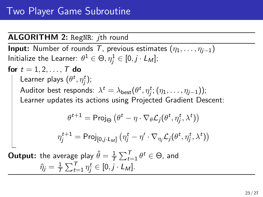<span id="page-22-0"></span>ALGORITHM 2: RegNR: *ith round* **Input:** Number of rounds T, previous estimates  $(\eta_1, \ldots, \eta_{i-1})$ Initialize the Learner:  $\theta^1\in\Theta, \eta_j^1\in [0, j\cdot L_M];$ for  $t = 1, 2, ..., T$  do Learner plays  $(\theta^t, \eta_j^t)$ ; Auditor best responds:  $\lambda^t = \lambda_{\mathsf{best}}(\theta^t, \eta^t_j; (\eta_1, \dots, \eta_{j-1}));$ Learner updates its actions using Projected Gradient Descent:  $\theta^{t+1} = \mathsf{Proj}_{\Theta} \left( \theta^t - \eta \cdot \nabla_{\theta} \mathcal{L}_j (\theta^t, \eta^t_j, \lambda^t) \right)$  $\eta_j^{t+1} = \mathsf{Proj}_{[0,j\cdot L_M]}\left(\eta_j^t - \eta' \cdot \nabla_{\eta_j} \mathcal{L}_j(\theta^t, \eta_j^t, \lambda^t)\right)$ **Output:** the average play  $\hat{\theta} = \frac{1}{7}$  $\frac{1}{\mathcal{T}}\sum_{t=1}^{\mathcal{T}}\theta^t \in \Theta$ , and  $\hat{\eta}_j = \frac{1}{7}$  $\frac{1}{T} \sum_{t=1}^{T} \eta_j^t \in [0, j \cdot L_M].$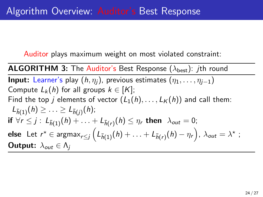Auditor plays maximum weight on most violated constraint:

**ALGORITHM 3:** The Auditor's Best Response ( $\lambda_{best}$ ): *j*th round **Input:** Learner's play  $(h, \eta_i)$ , previous estimates  $(\eta_1, \ldots, \eta_{i-1})$ Compute  $L_k(h)$  for all groups  $k \in [K]$ ; Find the top j elements of vector  $(L_1(h),..., L_K(h))$  and call them:  $L_{\bar{h}(1)}(h) \geq ... \geq L_{\bar{h}(j)}(h);$ if  $\forall r\leq j: \ L_{\bar{h}(1)}(h)+\ldots+L_{\bar{h}(r)}(h)\leq \eta_{r}$  then  $\ \lambda_{out}=0;$  ${\sf else\ \ Let\ } r^\star\in \operatorname{argmax}_{r\leq j} \Big(L_{\bar{h}(1)}(h)+\ldots+ L_{\bar{h}(r)}(h)-\eta_r\Big),\ \lambda_{out}=\lambda^\star\ ;$ **Output:**  $\lambda_{out} \in \Lambda_i$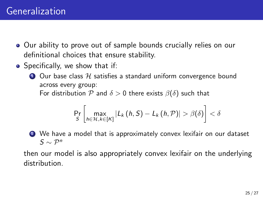- Our ability to prove out of sample bounds crucially relies on our definitional choices that ensure stability.
- Specifically, we show that if:

 $\bullet$  Our base class  $\mathcal H$  satisfies a standard uniform convergence bound across every group:

For distribution P and  $\delta > 0$  there exists  $\beta(\delta)$  such that

$$
\Pr_{S}\left[\max_{h\in\mathcal{H},k\in[K]}|L_{k}\left(h,S\right)-L_{k}\left(h,\mathcal{P}\right)|>\beta(\delta)\right]<\delta
$$

<sup>2</sup> We have a model that is approximately convex lexifair on our dataset  $S \sim \mathcal{P}^n$ 

then our model is also appropriately convex lexifair on the underlying distribution.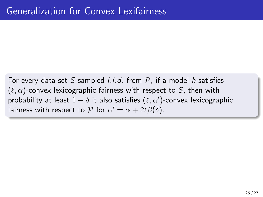For every data set S sampled *i.i.d.* from  $P$ , if a model h satisfies  $(\ell, \alpha)$ -convex lexicographic fairness with respect to S, then with probability at least  $1 - \delta$  it also satisfies  $(\ell, \alpha')$ -convex lexicographic fairness with respect to  $P$  for  $\alpha' = \alpha + 2\ell\beta(\delta)$ .